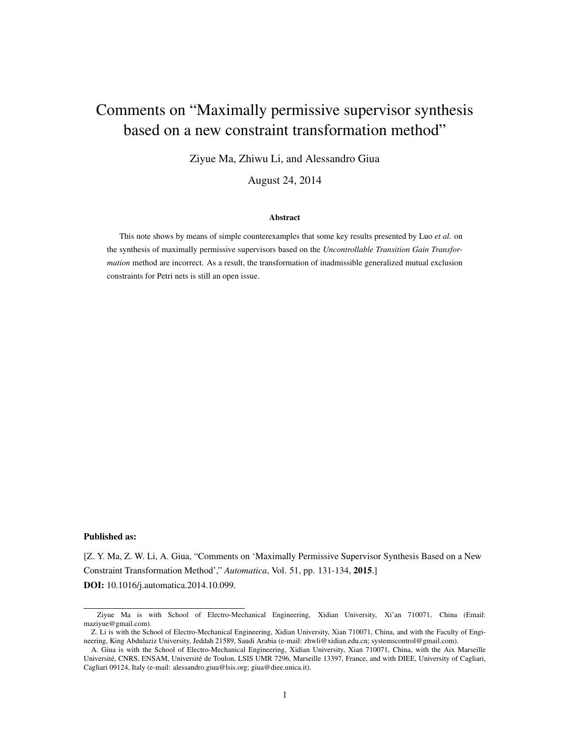# Comments on "Maximally permissive supervisor synthesis based on a new constraint transformation method"

Ziyue Ma, Zhiwu Li, and Alessandro Giua

August 24, 2014

#### Abstract

This note shows by means of simple counterexamples that some key results presented by Luo *et al.* on the synthesis of maximally permissive supervisors based on the *Uncontrollable Transition Gain Transformation* method are incorrect. As a result, the transformation of inadmissible generalized mutual exclusion constraints for Petri nets is still an open issue.

#### Published as:

[Z. Y. Ma, Z. W. Li, A. Giua, "Comments on 'Maximally Permissive Supervisor Synthesis Based on a New Constraint Transformation Method'," *Automatica*, Vol. 51, pp. 131-134, 2015.] DOI: 10.1016/j.automatica.2014.10.099.

Ziyue Ma is with School of Electro-Mechanical Engineering, Xidian University, Xi'an 710071, China (Email: maziyue@gmail.com).

Z. Li is with the School of Electro-Mechanical Engineering, Xidian University, Xian 710071, China, and with the Faculty of Engineering, King Abdulaziz University, Jeddah 21589, Saudi Arabia (e-mail: zhwli@xidian.edu.cn; systemscontrol@gmail.com).

A. Giua is with the School of Electro-Mechanical Engineering, Xidian University, Xian 710071, China, with the Aix Marseille Université, CNRS, ENSAM, Université de Toulon, LSIS UMR 7296, Marseille 13397, France, and with DIEE, University of Cagliari, Cagliari 09124, Italy (e-mail: alessandro.giua@lsis.org; giua@diee.unica.it).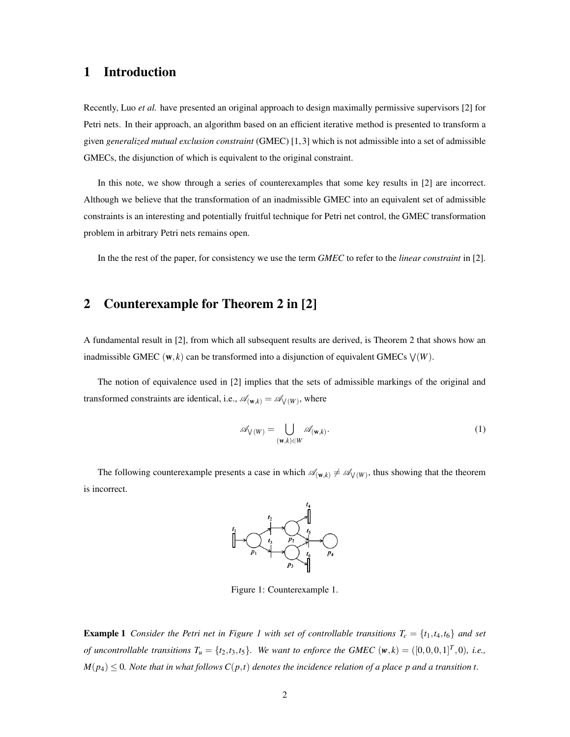### 1 Introduction

Recently, Luo *et al.* have presented an original approach to design maximally permissive supervisors [2] for Petri nets. In their approach, an algorithm based on an efficient iterative method is presented to transform a given *generalized mutual exclusion constraint* (GMEC) [1, 3] which is not admissible into a set of admissible GMECs, the disjunction of which is equivalent to the original constraint.

In this note, we show through a series of counterexamples that some key results in [2] are incorrect. Although we believe that the transformation of an inadmissible GMEC into an equivalent set of admissible constraints is an interesting and potentially fruitful technique for Petri net control, the GMEC transformation problem in arbitrary Petri nets remains open.

In the the rest of the paper, for consistency we use the term *GMEC* to refer to the *linear constraint* in [2].

# 2 Counterexample for Theorem 2 in [2]

A fundamental result in [2], from which all subsequent results are derived, is Theorem 2 that shows how an inadmissible GMEC  $(w, k)$  can be transformed into a disjunction of equivalent GMECs  $\vee(W)$ .

The notion of equivalence used in [2] implies that the sets of admissible markings of the original and transformed constraints are identical, i.e.,  $\mathscr{A}_{(\mathbf{w},k)} = \mathscr{A}_{\mathsf{V}(W)}$ , where

$$
\mathscr{A}_{\mathsf{V}(W)} = \bigcup_{(\mathbf{w},k)\in W} \mathscr{A}_{(\mathbf{w},k)}.
$$
 (1)

The following counterexample presents a case in which  $\mathscr{A}_{(w,k)} \neq \mathscr{A}_{\vee}(w)$ , thus showing that the theorem is incorrect.



Figure 1: Counterexample 1.

**Example 1** Consider the Petri net in Figure 1 with set of controllable transitions  $T_c = \{t_1, t_4, t_6\}$  and set of uncontrollable transitions  $T_u = \{t_2, t_3, t_5\}$ . We want to enforce the GMEC  $(w, k) = ([0, 0, 0, 1]^T, 0)$ , i.e.,  $M(p_4) \leq 0$ . Note that in what follows  $C(p,t)$  denotes the incidence relation of a place p and a transition t.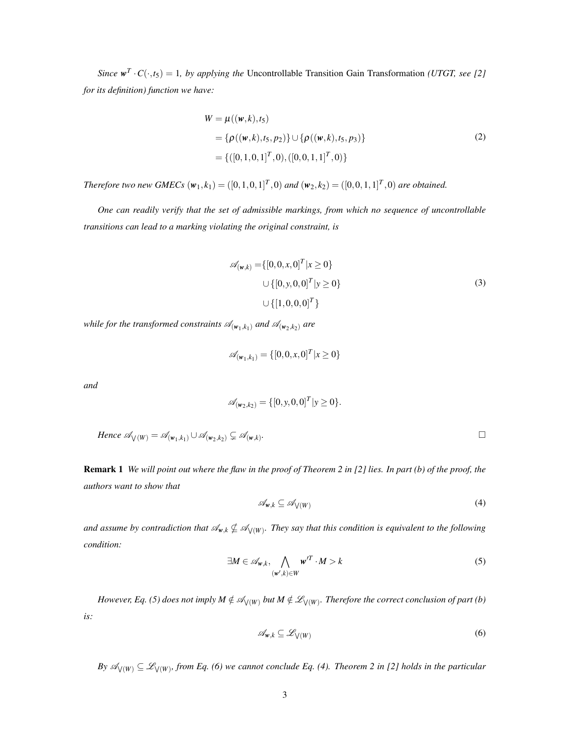*Since*  $w^T \cdot C(\cdot, t_5) = 1$ *, by applying the* Uncontrollable Transition Gain Transformation *(UTGT, see [2] for its definition) function we have:*

$$
W = \mu((w, k), t_5)
$$
  
= { $\rho((w, k), t_5, p_2)$ }  $\cup$  { $\rho((w, k), t_5, p_3)$ }  
= {([0, 1, 0, 1]<sup>T</sup>, 0), ([0, 0, 1, 1]<sup>T</sup>, 0)}

Therefore two new GMECs  $(w_1, k_1) = ([0, 1, 0, 1]^T, 0)$  and  $(w_2, k_2) = ([0, 0, 1, 1]^T, 0)$  are obtained.

*One can readily verify that the set of admissible markings, from which no sequence of uncontrollable transitions can lead to a marking violating the original constraint, is*

$$
\mathscr{A}_{(w,k)} = \{ [0,0,x,0]^T | x \ge 0 \}
$$
  

$$
\cup \{ [0,y,0,0]^T | y \ge 0 \}
$$
  

$$
\cup \{ [1,0,0,0]^T \}
$$
 (3)

*while for the transformed constraints*  $\mathcal{A}_{(\mathbf{w}_1,k_1)}$  *and*  $\mathcal{A}_{(\mathbf{w}_2,k_2)}$  *are* 

$$
\mathscr{A}_{(\mathbf{w}_1,k_1)} = \{ [0,0,x,0]^T | x \ge 0 \}
$$

*and*

$$
\mathscr{A}_{(w_2,k_2)} = \{ [0, y, 0, 0]^T | y \ge 0 \}.
$$

Hence 
$$
\mathscr{A}_{\mathsf{V}(W)} = \mathscr{A}_{(\mathsf{w}_1,k_1)} \cup \mathscr{A}_{(\mathsf{w}_2,k_2)} \subsetneq \mathscr{A}_{(\mathsf{w},k)}
$$
.

Remark 1 *We will point out where the flaw in the proof of Theorem 2 in [2] lies. In part (b) of the proof, the authors want to show that*

$$
\mathscr{A}_{w,k} \subseteq \mathscr{A}_{\bigvee(W)} \tag{4}
$$

and assume by contradiction that  $\mathscr{A}_{w,k} \nsubseteq \mathscr{A}_{\bigvee(W)}$ . They say that this condition is equivalent to the following *condition:*

$$
\exists M \in \mathscr{A}_{w,k}, \bigwedge_{(w',k)\in W} w'^T \cdot M > k \tag{5}
$$

*However, Eq. (5) does not imply*  $M \notin \mathscr{A}_{\bigvee(W)}$  *but*  $M \notin \mathscr{L}_{\bigvee(W)}$ *. Therefore the correct conclusion of part (b) is:*

$$
\mathscr{A}_{w,k} \subseteq \mathscr{L}_{\mathsf{V}(W)}\tag{6}
$$

*By*  $\mathscr{A}_{\bigvee(W)} \subseteq \mathscr{L}_{\bigvee(W)}$ , from Eq. (6) we cannot conclude Eq. (4). Theorem 2 in [2] holds in the particular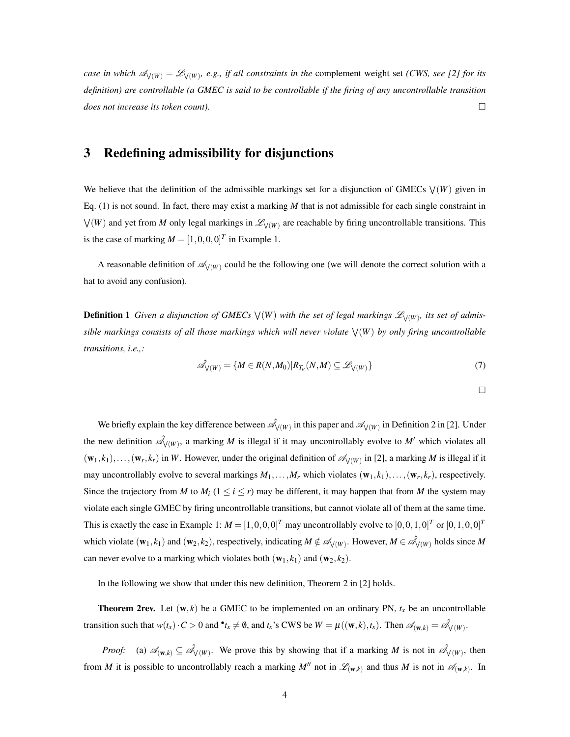*case in which*  $\mathscr{A}_{\bigvee(W)} = \mathscr{L}_{\bigvee(W)}$ , *e.g., if all constraints in the complement weight set <i>(CWS, see [2] for its definition) are controllable (a GMEC is said to be controllable if the firing of any uncontrollable transition does not increase its token count).* □

## 3 Redefining admissibility for disjunctions

We believe that the definition of the admissible markings set for a disjunction of GMECs ∨ (*W*) given in Eq. (1) is not sound. In fact, there may exist a marking *M* that is not admissible for each single constraint in ∨ (*W*) and yet from *M* only legal markings in *L*<sup>∨</sup> (*W*) are reachable by firing uncontrollable transitions. This is the case of marking  $M = [1, 0, 0, 0]^T$  in Example 1.

A reasonable definition of *A*<sup>∨</sup> (*W*) could be the following one (we will denote the correct solution with a hat to avoid any confusion).

**Definition 1** Given a disjunction of GMECs  $\vee$  (W) with the set of legal markings  $\mathscr{L}_{\vee(W)}$ , its set of admis*sible markings consists of all those markings which will never violate* ∨ (*W*) *by only firing uncontrollable transitions, i.e.,:*

$$
\hat{\mathcal{A}}_{\mathcal{V}(W)} = \{ M \in R(N, M_0) | R_{T_u}(N, M) \subseteq \mathcal{L}_{\mathcal{V}(W)} \}
$$
(7)

 $\Box$ 

We briefly explain the key difference between 
$$
\mathcal{A}_{\mathcal{V}(W)}
$$
 in this paper and  $\mathcal{A}_{\mathcal{V}(W)}$  in Definition 2 in [2]. Under  
the new definition  $\mathcal{A}_{\mathcal{V}(W)}$ , a marking *M* is illegal if it may uncontrollably evolve to *M'* which violates all  
 $(\mathbf{w}_1, k_1), ..., (\mathbf{w}_r, k_r)$  in *W*. However, under the original definition of  $\mathcal{A}_{\mathcal{V}(W)}$  in [2], a marking *M* is illegal if it  
may uncontrollably evolve to several markings  $M_1, ..., M_r$  which violates  $(\mathbf{w}_1, k_1), ..., (\mathbf{w}_r, k_r)$ , respectively.  
Since the trajectory from *M* to  $M_i$  ( $1 \le i \le r$ ) may be different, it may happen that from *M* the system may  
violate each single GMEC by firing uncontrollable transitions, but cannot violate all of them at the same time.  
This is exactly the case in Example 1:  $M = [1, 0, 0, 0]^T$  may uncontrollably evolve to  $[0, 0, 1, 0]^T$  or  $[0, 1, 0, 0]^T$   
which violate  $(\mathbf{w}_1, k_1)$  and  $(\mathbf{w}_2, k_2)$ , respectively, indicating  $M \notin \mathcal{A}_{\mathcal{V}(W)}$ . However,  $M \in \mathcal{A}_{\mathcal{V}(W)}$  holds since *M*  
can never evolve to a marking which violates both  $(\mathbf{w}_1, k_1)$  and  $(\mathbf{w}_2, k_2)$ .

In the following we show that under this new definition, Theorem 2 in [2] holds.

**Theorem 2rev.** Let  $(w, k)$  be a GMEC to be implemented on an ordinary PN,  $t_x$  be an uncontrollable transition such that  $w(t_x) \cdot C > 0$  and  $\mathbf{t}_x \neq \mathbf{0}$ , and  $t_x$ 's CWS be  $W = \mu((\mathbf{w}, k), t_x)$ . Then  $\mathcal{A}_{(\mathbf{w}, k)} = \mathcal{A}_{\mathcal{V}(W)}$ .

*Proof:* (a)  $\mathscr{A}_{(\mathbf{w},k)} \subseteq \mathscr{A}_{\mathsf{V}(W)}$ . We prove this by showing that if a marking *M* is not in  $\mathscr{A}_{\mathsf{V}(W)}$ , then from *M* it is possible to uncontrollably reach a marking  $M''$  not in  $\mathscr{L}_{(\mathbf{w},k)}$  and thus *M* is not in  $\mathscr{A}_{(\mathbf{w},k)}$ . In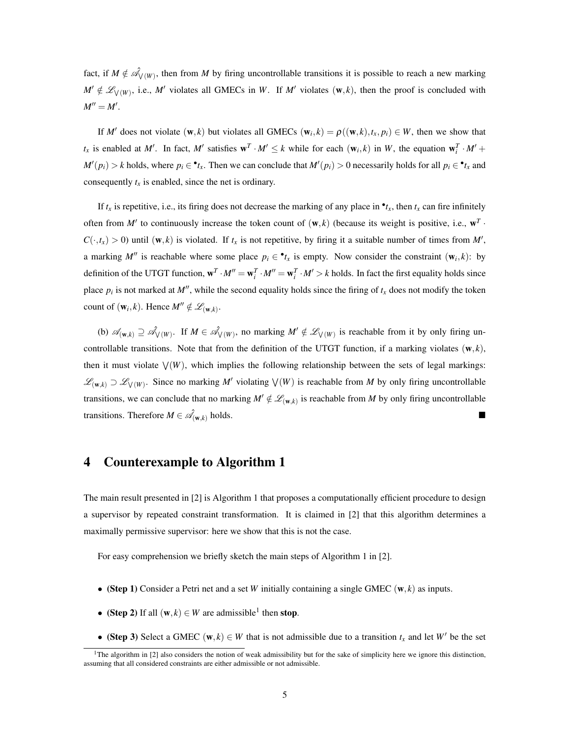fact, if  $M \notin \hat{\mathcal{A}}_{V(W)}$ , then from M by firing uncontrollable transitions it is possible to reach a new marking  $M' \notin \mathscr{L}_{V(W)}$ , i.e., M<sup>*'*</sup> violates all GMECs in *W*. If *M'* violates (w, *k*), then the proof is concluded with  $M'' = M'$ .

If *M'* does not violate  $(\mathbf{w}, k)$  but violates all GMECs  $(\mathbf{w}_i, k) = \rho((\mathbf{w}, k), t_x, p_i) \in W$ , then we show that  $t_x$  is enabled at M'. In fact, M' satisfies  $\mathbf{w}^T \cdot M' \le k$  while for each  $(\mathbf{w}_i, k)$  in W, the equation  $\mathbf{w}_i^T \cdot M' +$  $M'(p_i) > k$  holds, where  $p_i \in \mathbf{P}_{x}$ . Then we can conclude that  $M'(p_i) > 0$  necessarily holds for all  $p_i \in \mathbf{P}_{x}$  and consequently  $t_x$  is enabled, since the net is ordinary.

If  $t_x$  is repetitive, i.e., its firing does not decrease the marking of any place in  $\cdot t_x$ , then  $t_x$  can fire infinitely often from  $M'$  to continuously increase the token count of  $(w, k)$  (because its weight is positive, i.e.,  $w^T \cdot$  $C(\cdot, t_x) > 0$  until  $(\mathbf{w}, k)$  is violated. If  $t_x$  is not repetitive, by firing it a suitable number of times from  $M'$ , a marking  $M''$  is reachable where some place  $p_i \in \mathbf{e}_t$  is empty. Now consider the constraint  $(\mathbf{w}_i, k)$ : by definition of the UTGT function,  $\mathbf{w}^T \cdot M'' = \mathbf{w}_i^T \cdot M'' = \mathbf{w}_i^T \cdot M' > k$  holds. In fact the first equality holds since place  $p_i$  is not marked at  $M''$ , while the second equality holds since the firing of  $t_x$  does not modify the token count of  $(\mathbf{w}_i, k)$ . Hence  $M'' \notin \mathcal{L}_{(\mathbf{w}, k)}$ .

(b)  $\mathscr{A}_{(\mathbf{w},k)}$  ⊇  $\mathscr{A}_{\mathsf{V}(\mathbf{W})}$ . If  $M \in \mathscr{A}_{\mathsf{V}(\mathbf{W})}$ , no marking  $M' \notin \mathscr{L}_{\mathsf{V}(\mathbf{W})}$  is reachable from it by only firing uncontrollable transitions. Note that from the definition of the UTGT function, if a marking violates  $(\mathbf{w}, k)$ , then it must violate ∨ (*W*), which implies the following relationship between the sets of legal markings:  $\mathscr{L}_{(\mathbf{w},k)}$  ⊃  $\mathscr{L}_{\mathsf{V}(W)}$ . Since no marking *M'* violating  $\mathsf{V}(W)$  is reachable from *M* by only firing uncontrollable transitions, we can conclude that no marking  $M' \notin \mathscr{L}_{(\mathbf{w},k)}$  is reachable from M by only firing uncontrollable transitions. Therefore  $M \in \hat{\mathcal{A}}_{(\mathbf{w},k)}$  holds.

# 4 Counterexample to Algorithm 1

The main result presented in [2] is Algorithm 1 that proposes a computationally efficient procedure to design a supervisor by repeated constraint transformation. It is claimed in [2] that this algorithm determines a maximally permissive supervisor: here we show that this is not the case.

For easy comprehension we briefly sketch the main steps of Algorithm 1 in [2].

- *•* (Step 1) Consider a Petri net and a set *W* initially containing a single GMEC (w*,k*) as inputs.
- (Step 2) If all  $(w, k) \in W$  are admissible<sup>1</sup> then stop.
- (Step 3) Select a GMEC (w,  $k$ )  $\in$  *W* that is not admissible due to a transition  $t_x$  and let *W'* be the set

<sup>&</sup>lt;sup>1</sup>The algorithm in [2] also considers the notion of weak admissibility but for the sake of simplicity here we ignore this distinction, assuming that all considered constraints are either admissible or not admissible.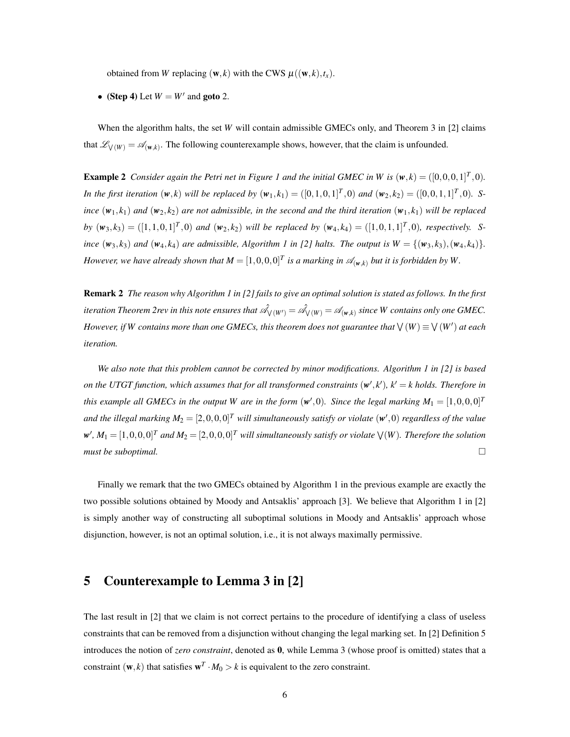obtained from *W* replacing  $(\mathbf{w}, k)$  with the CWS  $\mu((\mathbf{w}, k), t_x)$ .

• (Step 4) Let  $W = W'$  and goto 2.

When the algorithm halts, the set *W* will contain admissible GMECs only, and Theorem 3 in [2] claims that  $\mathscr{L}_{\vee}(W) = \mathscr{A}_{(\mathbf{w},k)}$ . The following counterexample shows, however, that the claim is unfounded.

**Example 2** Consider again the Petri net in Figure 1 and the initial GMEC in W is  $(w, k) = ([0, 0, 0, 1]^T, 0)$ . In the first iteration  $(w, k)$  will be replaced by  $(w_1, k_1) = ([0, 1, 0, 1]^T, 0)$  and  $(w_2, k_2) = ([0, 0, 1, 1]^T, 0)$ . S*ince*  $(w_1, k_1)$  *and*  $(w_2, k_2)$  *are not admissible, in the second and the third iteration*  $(w_1, k_1)$  *will be replaced* by  $(w_3, k_3) = ([1, 1, 0, 1]^T, 0)$  and  $(w_2, k_2)$  will be replaced by  $(w_4, k_4) = ([1, 0, 1, 1]^T, 0)$ , respectively. Since  $(w_3, k_3)$  and  $(w_4, k_4)$  are admissible, Algorithm 1 in [2] halts. The output is  $W = \{ (w_3, k_3), (w_4, k_4) \}.$ *However, we have already shown that*  $M = [1,0,0,0]^T$  is a marking in  $\mathscr{A}_{(\mathbf{w},k)}$  but it is forbidden by W.

Remark 2 *The reason why Algorithm 1 in [2] fails to give an optimal solution is stated as follows. In the first*  $i$  *teration Theorem 2rev in this note ensures that*  $\hat{\mathscr{A}}_{\bigvee(W')}=\hat{\mathscr{A}}_{\bigvee(W)}=\mathscr{A}_{(\mathbf{w},k)}$  *since W contains only one GMEC. However, if* W contains more than one GMECs, this theorem does not guarantee that  $\bigvee(W) \equiv \bigvee(W')$  at each *iteration.*

*We also note that this problem cannot be corrected by minor modifications. Algorithm 1 in [2] is based on the UTGT function, which assumes that for all transformed constraints*  $(w', k')$ *,*  $k' = k$  *holds. Therefore in this example all GMECs in the output W are in the form*  $(w', 0)$ *. Since the legal marking*  $M_1 = [1, 0, 0, 0]^T$ and the illegal marking  $M_2 = [2,0,0,0]^T$  will simultaneously satisfy or violate  $(w',0)$  regardless of the value  $w'$ ,  $M_1 = [1,0,0,0]^T$  and  $M_2 = [2,0,0,0]^T$  will simultaneously satisfy or violate  $\bigvee(W)$ . Therefore the solution *must be suboptimal.*

Finally we remark that the two GMECs obtained by Algorithm 1 in the previous example are exactly the two possible solutions obtained by Moody and Antsaklis' approach [3]. We believe that Algorithm 1 in [2] is simply another way of constructing all suboptimal solutions in Moody and Antsaklis' approach whose disjunction, however, is not an optimal solution, i.e., it is not always maximally permissive.

#### 5 Counterexample to Lemma 3 in [2]

The last result in [2] that we claim is not correct pertains to the procedure of identifying a class of useless constraints that can be removed from a disjunction without changing the legal marking set. In [2] Definition 5 introduces the notion of *zero constraint*, denoted as 0, while Lemma 3 (whose proof is omitted) states that a constraint  $(\mathbf{w}, k)$  that satisfies  $\mathbf{w}^T \cdot M_0 > k$  is equivalent to the zero constraint.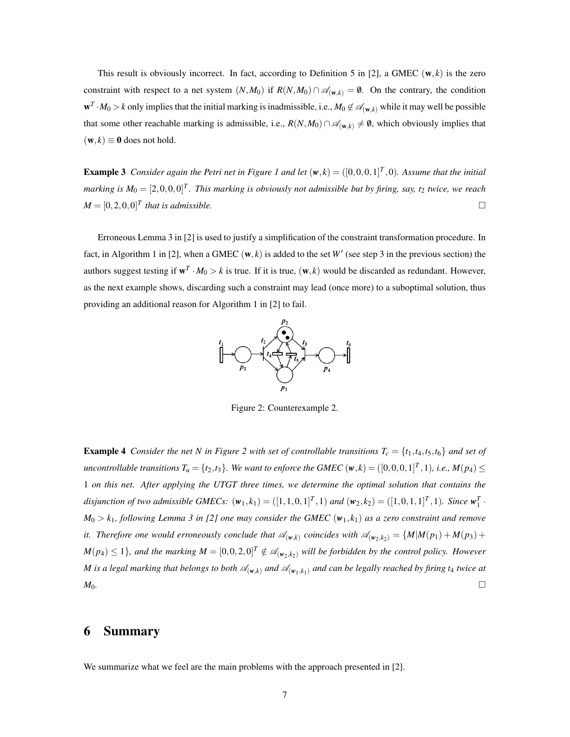This result is obviously incorrect. In fact, according to Definition 5 in [2], a GMEC  $(w, k)$  is the zero constraint with respect to a net system  $(N, M_0)$  if  $R(N, M_0) \cap \mathcal{A}_{(w,k)} = \emptyset$ . On the contrary, the condition  $w^T \cdot M_0 > k$  only implies that the initial marking is inadmissible, i.e.,  $M_0 \not\in \mathscr{A}_{(w,k)}$  while it may well be possible that some other reachable marking is admissible, i.e.,  $R(N,M_0) \cap \mathscr{A}_{(w,k)} \neq \emptyset$ , which obviously implies that  $(\mathbf{w},k) \equiv \mathbf{0}$  does not hold.

**Example 3** Consider again the Petri net in Figure 1 and let  $(w, k) = ([0, 0, 0, 1]^T, 0)$ . Assume that the initial marking is  $M_0 = [2, 0, 0, 0]^T$ . This marking is obviously not admissible but by firing, say, t<sub>2</sub> twice, we reach  $M = [0, 2, 0, 0]^T$  that is admissible.

Erroneous Lemma 3 in [2] is used to justify a simplification of the constraint transformation procedure. In fact, in Algorithm 1 in [2], when a GMEC  $(w, k)$  is added to the set  $W'$  (see step 3 in the previous section) the authors suggest testing if  $w^T \cdot M_0 > k$  is true. If it is true,  $(w, k)$  would be discarded as redundant. However, as the next example shows, discarding such a constraint may lead (once more) to a suboptimal solution, thus providing an additional reason for Algorithm 1 in [2] to fail.



Figure 2: Counterexample 2.

**Example 4** Consider the net N in Figure 2 with set of controllable transitions  $T_c = \{t_1, t_4, t_5, t_6\}$  and set of uncontrollable transitions  $T_u = \{t_2, t_3\}$ . We want to enforce the GMEC  $(w, k) = ([0, 0, 0, 1]^T, 1)$ , i.e.,  $M(p_4) \leq$ 1 *on this net. After applying the UTGT three times, we determine the optimal solution that contains the* disjunction of two admissible GMECs:  $(w_1, k_1) = ([1, 1, 0, 1]^T, 1)$  and  $(w_2, k_2) = ([1, 0, 1, 1]^T, 1)$ . Since  $w_1^T$ .  $M_0 > k_1$ , following Lemma 3 in [2] one may consider the GMEC  $(w_1, k_1)$  as a zero constraint and remove *it.* Therefore one would erroneously conclude that  $\mathcal{A}_{(w,k)}$  coincides with  $\mathcal{A}_{(w_2,k_2)} = \{M | M(p_1) + M(p_3) + M(p_4) \}$  $M(p_4) \leq 1$ , and the marking  $M = [0, 0, 2, 0]^T \notin \mathscr{A}_{(\mathbf{w}_2, k_2)}$  will be forbidden by the control policy. However *M* is a legal marking that belongs to both  $\mathcal{A}_{(w,k)}$  and  $\mathcal{A}_{(w_1,k_1)}$  and can be legally reached by firing t<sub>4</sub> twice at  $M_0$ .

#### 6 Summary

We summarize what we feel are the main problems with the approach presented in [2].